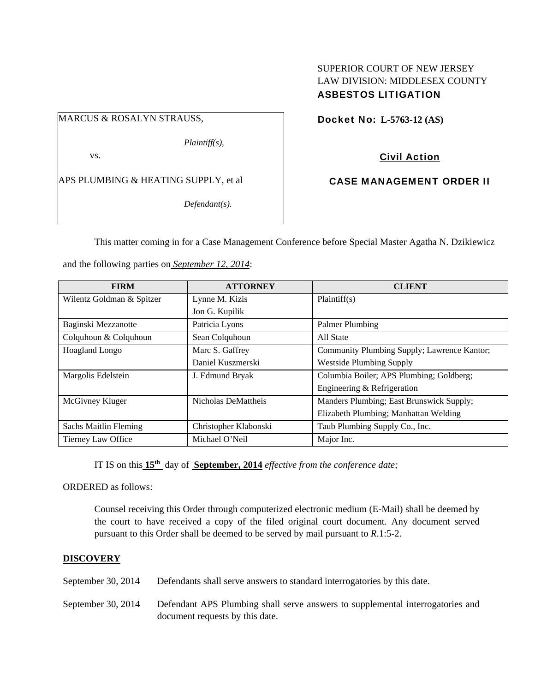## SUPERIOR COURT OF NEW JERSEY LAW DIVISION: MIDDLESEX COUNTY ASBESTOS LITIGATION

MARCUS & ROSALYN STRAUSS,

*Plaintiff(s),* 

vs.

APS PLUMBING & HEATING SUPPLY, et al

*Defendant(s).* 

Docket No: **L-5763-12 (AS)** 

Civil Action

CASE MANAGEMENT ORDER II

This matter coming in for a Case Management Conference before Special Master Agatha N. Dzikiewicz

and the following parties on *September 12, 2014*:

| <b>FIRM</b>                  | <b>ATTORNEY</b>       | <b>CLIENT</b>                               |
|------------------------------|-----------------------|---------------------------------------------|
| Wilentz Goldman & Spitzer    | Lynne M. Kizis        | Plaintiff(s)                                |
|                              | Jon G. Kupilik        |                                             |
| Baginski Mezzanotte          | Patricia Lyons        | Palmer Plumbing                             |
| Colquhoun & Colquhoun        | Sean Colquhoun        | All State                                   |
| Hoagland Longo               | Marc S. Gaffrey       | Community Plumbing Supply; Lawrence Kantor; |
|                              | Daniel Kuszmerski     | <b>Westside Plumbing Supply</b>             |
| Margolis Edelstein           | J. Edmund Bryak       | Columbia Boiler; APS Plumbing; Goldberg;    |
|                              |                       | Engineering & Refrigeration                 |
| McGivney Kluger              | Nicholas DeMattheis   | Manders Plumbing; East Brunswick Supply;    |
|                              |                       | Elizabeth Plumbing; Manhattan Welding       |
| <b>Sachs Maitlin Fleming</b> | Christopher Klabonski | Taub Plumbing Supply Co., Inc.              |
| Tierney Law Office           | Michael O'Neil        | Major Inc.                                  |

IT IS on this **15th** day of **September, 2014** *effective from the conference date;*

ORDERED as follows:

Counsel receiving this Order through computerized electronic medium (E-Mail) shall be deemed by the court to have received a copy of the filed original court document. Any document served pursuant to this Order shall be deemed to be served by mail pursuant to *R*.1:5-2.

## **DISCOVERY**

September 30, 2014 Defendants shall serve answers to standard interrogatories by this date.

September 30, 2014 Defendant APS Plumbing shall serve answers to supplemental interrogatories and document requests by this date.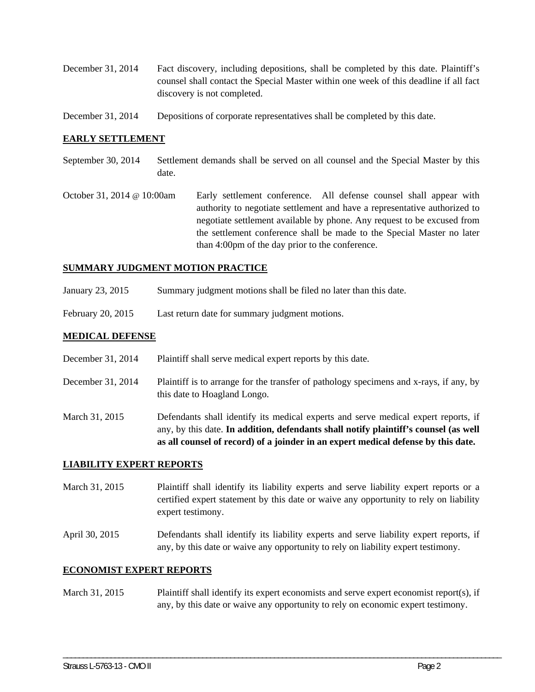- December 31, 2014 Fact discovery, including depositions, shall be completed by this date. Plaintiff's counsel shall contact the Special Master within one week of this deadline if all fact discovery is not completed.
- December 31, 2014 Depositions of corporate representatives shall be completed by this date.

## **EARLY SETTLEMENT**

- September 30, 2014 Settlement demands shall be served on all counsel and the Special Master by this date.
- October 31, 2014 @ 10:00am Early settlement conference. All defense counsel shall appear with authority to negotiate settlement and have a representative authorized to negotiate settlement available by phone. Any request to be excused from the settlement conference shall be made to the Special Master no later than 4:00pm of the day prior to the conference.

### **SUMMARY JUDGMENT MOTION PRACTICE**

- January 23, 2015 Summary judgment motions shall be filed no later than this date.
- February 20, 2015 Last return date for summary judgment motions.

## **MEDICAL DEFENSE**

- December 31, 2014 Plaintiff shall serve medical expert reports by this date.
- December 31, 2014 Plaintiff is to arrange for the transfer of pathology specimens and x-rays, if any, by this date to Hoagland Longo.
- March 31, 2015 Defendants shall identify its medical experts and serve medical expert reports, if any, by this date. **In addition, defendants shall notify plaintiff's counsel (as well as all counsel of record) of a joinder in an expert medical defense by this date.**

#### **LIABILITY EXPERT REPORTS**

- March 31, 2015 Plaintiff shall identify its liability experts and serve liability expert reports or a certified expert statement by this date or waive any opportunity to rely on liability expert testimony.
- April 30, 2015 Defendants shall identify its liability experts and serve liability expert reports, if any, by this date or waive any opportunity to rely on liability expert testimony.

## **ECONOMIST EXPERT REPORTS**

March 31, 2015 Plaintiff shall identify its expert economists and serve expert economist report(s), if any, by this date or waive any opportunity to rely on economic expert testimony.

\_\_\_\_\_\_\_\_\_\_\_\_\_\_\_\_\_\_\_\_\_\_\_\_\_\_\_\_\_\_\_\_\_\_\_\_\_\_\_\_\_\_\_\_\_\_\_\_\_\_\_\_\_\_\_\_\_\_\_\_\_\_\_\_\_\_\_\_\_\_\_\_\_\_\_\_\_\_\_\_\_\_\_\_\_\_\_\_\_\_\_\_\_\_\_\_\_\_\_\_\_\_\_\_\_\_\_\_\_\_